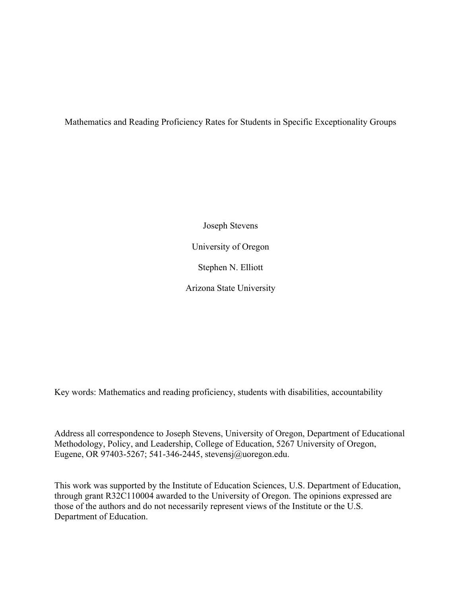Mathematics and Reading Proficiency Rates for Students in Specific Exceptionality Groups

Joseph Stevens University of Oregon Stephen N. Elliott Arizona State University

Key words: Mathematics and reading proficiency, students with disabilities, accountability

Address all correspondence to Joseph Stevens, University of Oregon, Department of Educational Methodology, Policy, and Leadership, College of Education, 5267 University of Oregon, Eugene, OR 97403-5267; 541-346-2445, stevensj@uoregon.edu.

This work was supported by the Institute of Education Sciences, U.S. Department of Education, through grant R32C110004 awarded to the University of Oregon. The opinions expressed are those of the authors and do not necessarily represent views of the Institute or the U.S. Department of Education.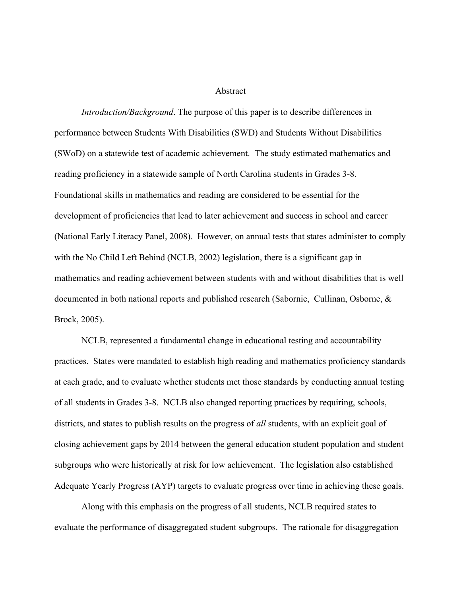## Abstract

*Introduction/Background*. The purpose of this paper is to describe differences in performance between Students With Disabilities (SWD) and Students Without Disabilities (SWoD) on a statewide test of academic achievement. The study estimated mathematics and reading proficiency in a statewide sample of North Carolina students in Grades 3-8. Foundational skills in mathematics and reading are considered to be essential for the development of proficiencies that lead to later achievement and success in school and career (National Early Literacy Panel, 2008). However, on annual tests that states administer to comply with the No Child Left Behind (NCLB, 2002) legislation, there is a significant gap in mathematics and reading achievement between students with and without disabilities that is well documented in both national reports and published research (Sabornie, Cullinan, Osborne, & Brock, 2005).

NCLB, represented a fundamental change in educational testing and accountability practices. States were mandated to establish high reading and mathematics proficiency standards at each grade, and to evaluate whether students met those standards by conducting annual testing of all students in Grades 3-8. NCLB also changed reporting practices by requiring, schools, districts, and states to publish results on the progress of *all* students, with an explicit goal of closing achievement gaps by 2014 between the general education student population and student subgroups who were historically at risk for low achievement. The legislation also established Adequate Yearly Progress (AYP) targets to evaluate progress over time in achieving these goals.

Along with this emphasis on the progress of all students, NCLB required states to evaluate the performance of disaggregated student subgroups. The rationale for disaggregation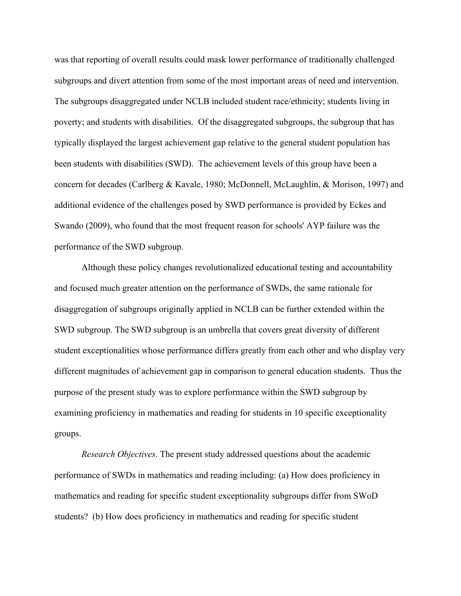was that reporting of overall results could mask lower performance of traditionally challenged subgroups and divert attention from some of the most important areas of need and intervention. The subgroups disaggregated under NCLB included student race/ethnicity; students living in poverty; and students with disabilities. Of the disaggregated subgroups, the subgroup that has typically displayed the largest achievement gap relative to the general student population has been students with disabilities (SWD). The achievement levels of this group have been a concern for decades (Carlberg & Kavale, 1980; McDonnell, McLaughlin, & Morison, 1997) and additional evidence of the challenges posed by SWD performance is provided by Eckes and Swando (2009), who found that the most frequent reason for schools' AYP failure was the performance of the SWD subgroup.

Although these policy changes revolutionalized educational testing and accountability and focused much greater attention on the performance of SWDs, the same rationale for disaggregation of subgroups originally applied in NCLB can be further extended within the SWD subgroup. The SWD subgroup is an umbrella that covers great diversity of different student exceptionalities whose performance differs greatly from each other and who display very different magnitudes of achievement gap in comparison to general education students. Thus the purpose of the present study was to explore performance within the SWD subgroup by examining proficiency in mathematics and reading for students in 10 specific exceptionality groups.

*Research Objectives*. The present study addressed questions about the academic performance of SWDs in mathematics and reading including: (a) How does proficiency in mathematics and reading for specific student exceptionality subgroups differ from SWoD students? (b) How does proficiency in mathematics and reading for specific student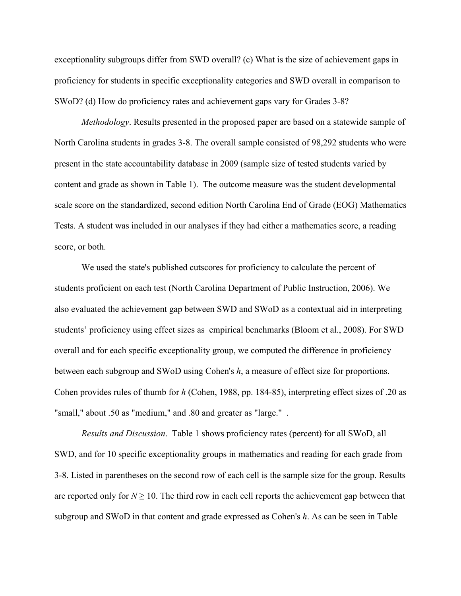exceptionality subgroups differ from SWD overall? (c) What is the size of achievement gaps in proficiency for students in specific exceptionality categories and SWD overall in comparison to SWoD? (d) How do proficiency rates and achievement gaps vary for Grades 3-8?

*Methodology*. Results presented in the proposed paper are based on a statewide sample of North Carolina students in grades 3-8. The overall sample consisted of 98,292 students who were present in the state accountability database in 2009 (sample size of tested students varied by content and grade as shown in Table 1). The outcome measure was the student developmental scale score on the standardized, second edition North Carolina End of Grade (EOG) Mathematics Tests. A student was included in our analyses if they had either a mathematics score, a reading score, or both.

We used the state's published cutscores for proficiency to calculate the percent of students proficient on each test (North Carolina Department of Public Instruction, 2006). We also evaluated the achievement gap between SWD and SWoD as a contextual aid in interpreting students' proficiency using effect sizes as empirical benchmarks (Bloom et al., 2008). For SWD overall and for each specific exceptionality group, we computed the difference in proficiency between each subgroup and SWoD using Cohen's *h*, a measure of effect size for proportions. Cohen provides rules of thumb for *h* (Cohen, 1988, pp. 184-85), interpreting effect sizes of .20 as "small," about .50 as "medium," and .80 and greater as "large." .

*Results and Discussion*. Table 1 shows proficiency rates (percent) for all SWoD, all SWD, and for 10 specific exceptionality groups in mathematics and reading for each grade from 3-8. Listed in parentheses on the second row of each cell is the sample size for the group. Results are reported only for  $N \geq 10$ . The third row in each cell reports the achievement gap between that subgroup and SWoD in that content and grade expressed as Cohen's *h*. As can be seen in Table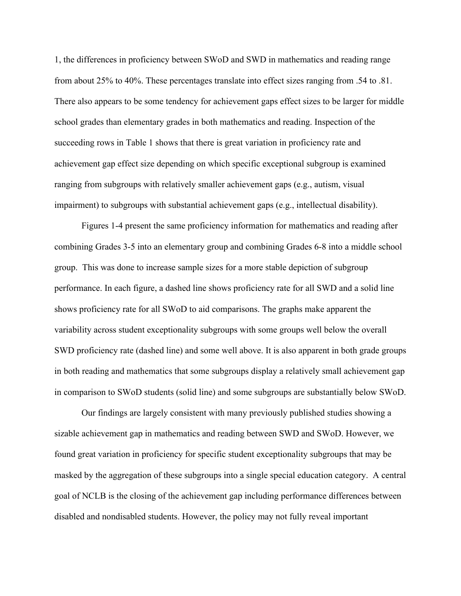1, the differences in proficiency between SWoD and SWD in mathematics and reading range from about 25% to 40%. These percentages translate into effect sizes ranging from .54 to .81. There also appears to be some tendency for achievement gaps effect sizes to be larger for middle school grades than elementary grades in both mathematics and reading. Inspection of the succeeding rows in Table 1 shows that there is great variation in proficiency rate and achievement gap effect size depending on which specific exceptional subgroup is examined ranging from subgroups with relatively smaller achievement gaps (e.g., autism, visual impairment) to subgroups with substantial achievement gaps (e.g., intellectual disability).

Figures 1-4 present the same proficiency information for mathematics and reading after combining Grades 3-5 into an elementary group and combining Grades 6-8 into a middle school group. This was done to increase sample sizes for a more stable depiction of subgroup performance. In each figure, a dashed line shows proficiency rate for all SWD and a solid line shows proficiency rate for all SWoD to aid comparisons. The graphs make apparent the variability across student exceptionality subgroups with some groups well below the overall SWD proficiency rate (dashed line) and some well above. It is also apparent in both grade groups in both reading and mathematics that some subgroups display a relatively small achievement gap in comparison to SWoD students (solid line) and some subgroups are substantially below SWoD.

Our findings are largely consistent with many previously published studies showing a sizable achievement gap in mathematics and reading between SWD and SWoD. However, we found great variation in proficiency for specific student exceptionality subgroups that may be masked by the aggregation of these subgroups into a single special education category. A central goal of NCLB is the closing of the achievement gap including performance differences between disabled and nondisabled students. However, the policy may not fully reveal important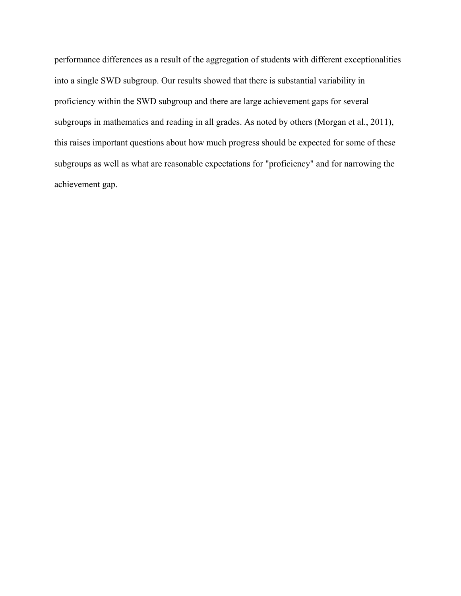performance differences as a result of the aggregation of students with different exceptionalities into a single SWD subgroup. Our results showed that there is substantial variability in proficiency within the SWD subgroup and there are large achievement gaps for several subgroups in mathematics and reading in all grades. As noted by others (Morgan et al., 2011), this raises important questions about how much progress should be expected for some of these subgroups as well as what are reasonable expectations for "proficiency" and for narrowing the achievement gap.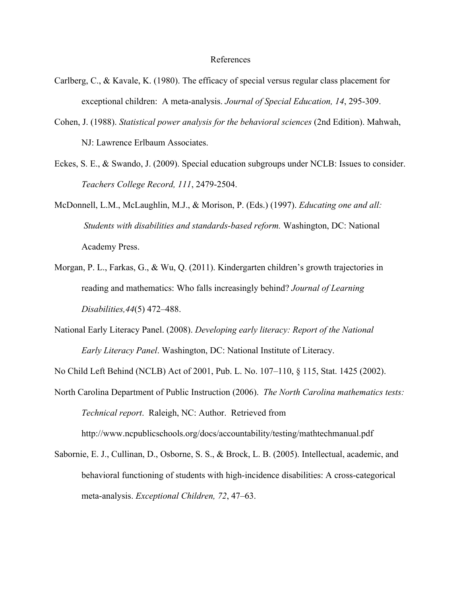## References

- Carlberg, C., & Kavale, K. (1980). The efficacy of special versus regular class placement for exceptional children: A meta-analysis. *Journal of Special Education, 14*, 295-309.
- Cohen, J. (1988). *Statistical power analysis for the behavioral sciences* (2nd Edition). Mahwah, NJ: Lawrence Erlbaum Associates.
- Eckes, S. E., & Swando, J. (2009). Special education subgroups under NCLB: Issues to consider. *Teachers College Record, 111*, 2479-2504.
- McDonnell, L.M., McLaughlin, M.J., & Morison, P. (Eds.) (1997). *Educating one and all: Students with disabilities and standards-based reform.* Washington, DC: National Academy Press.
- Morgan, P. L., Farkas, G., & Wu, Q. (2011). Kindergarten children's growth trajectories in reading and mathematics: Who falls increasingly behind? *Journal of Learning Disabilities,44*(5) 472–488.
- National Early Literacy Panel. (2008). *Developing early literacy: Report of the National Early Literacy Panel*. Washington, DC: National Institute of Literacy.
- No Child Left Behind (NCLB) Act of 2001, Pub. L. No. 107–110, § 115, Stat. 1425 (2002).
- North Carolina Department of Public Instruction (2006). *The North Carolina mathematics tests: Technical report*. Raleigh, NC: Author. Retrieved from http://www.ncpublicschools.org/docs/accountability/testing/mathtechmanual.pdf
- Sabornie, E. J., Cullinan, D., Osborne, S. S., & Brock, L. B. (2005). Intellectual, academic, and behavioral functioning of students with high-incidence disabilities: A cross-categorical meta-analysis. *Exceptional Children, 72*, 47–63.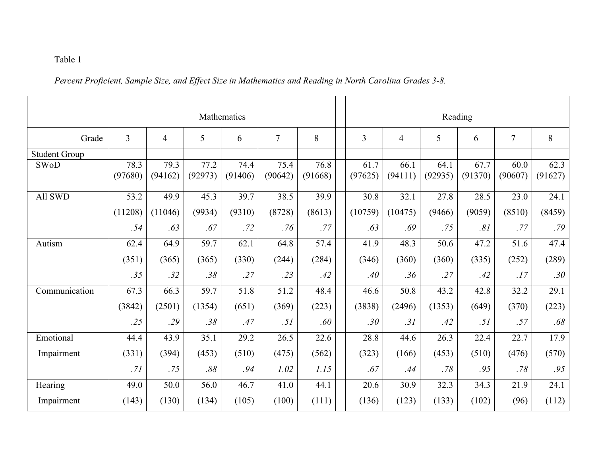## Table 1

*Percent Proficient, Sample Size, and Effect Size in Mathematics and Reading in North Carolina Grades 3-8.*

|                      | Mathematics     |                 |                 |                 |                 |                 |  | Reading         |                 |                 |                 |                 |                 |  |
|----------------------|-----------------|-----------------|-----------------|-----------------|-----------------|-----------------|--|-----------------|-----------------|-----------------|-----------------|-----------------|-----------------|--|
| Grade                | $\overline{3}$  | $\overline{4}$  | 5               | 6               | $\overline{7}$  | 8               |  | $\overline{3}$  | 4               | 5               | 6               | $\overline{7}$  | 8               |  |
| <b>Student Group</b> |                 |                 |                 |                 |                 |                 |  |                 |                 |                 |                 |                 |                 |  |
| <b>SWoD</b>          | 78.3<br>(97680) | 79.3<br>(94162) | 77.2<br>(92973) | 74.4<br>(91406) | 75.4<br>(90642) | 76.8<br>(91668) |  | 61.7<br>(97625) | 66.1<br>(94111) | 64.1<br>(92935) | 67.7<br>(91370) | 60.0<br>(90607) | 62.3<br>(91627) |  |
| All SWD              | 53.2            | 49.9            | 45.3            | 39.7            | 38.5            | 39.9            |  | 30.8            | 32.1            | 27.8            | 28.5            | 23.0            | 24.1            |  |
|                      | (11208)         | (11046)         | (9934)          | (9310)          | (8728)          | (8613)          |  | (10759)         | (10475)         | (9466)          | (9059)          | (8510)          | (8459)          |  |
|                      | .54             | .63             | .67             | .72             | .76             | .77             |  | .63             | .69             | .75             | .81             | .77             | .79             |  |
| Autism               | 62.4            | 64.9            | 59.7            | 62.1            | 64.8            | 57.4            |  | 41.9            | 48.3            | 50.6            | 47.2            | 51.6            | 47.4            |  |
|                      | (351)           | (365)           | (365)           | (330)           | (244)           | (284)           |  | (346)           | (360)           | (360)           | (335)           | (252)           | (289)           |  |
|                      | .35             | .32             | .38             | .27             | .23             | .42             |  | .40             | .36             | .27             | .42             | .17             | .30             |  |
| Communication        | 67.3            | 66.3            | 59.7            | 51.8            | 51.2            | 48.4            |  | 46.6            | 50.8            | 43.2            | 42.8            | 32.2            | 29.1            |  |
|                      | (3842)          | (2501)          | (1354)          | (651)           | (369)           | (223)           |  | (3838)          | (2496)          | (1353)          | (649)           | (370)           | (223)           |  |
|                      | .25             | .29             | .38             | .47             | .51             | .60             |  | .30             | .31             | .42             | .51             | .57             | .68             |  |
| Emotional            | 44.4            | 43.9            | 35.1            | 29.2            | 26.5            | 22.6            |  | 28.8            | 44.6            | 26.3            | 22.4            | 22.7            | 17.9            |  |
| Impairment           | (331)           | (394)           | (453)           | (510)           | (475)           | (562)           |  | (323)           | (166)           | (453)           | (510)           | (476)           | (570)           |  |
|                      | .71             | .75             | .88             | .94             | 1.02            | 1.15            |  | .67             | .44             | .78             | .95             | .78             | .95             |  |
| Hearing              | 49.0            | 50.0            | 56.0            | 46.7            | 41.0            | 44.1            |  | 20.6            | 30.9            | 32.3            | 34.3            | 21.9            | 24.1            |  |
| Impairment           | (143)           | (130)           | (134)           | (105)           | (100)           | (111)           |  | (136)           | (123)           | (133)           | (102)           | (96)            | (112)           |  |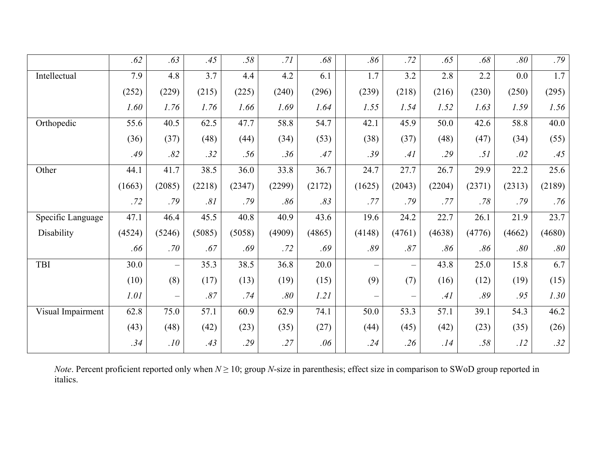|                   | .62    | .63               | .45    | .58    | .71    | .68    | .86    | .72               | .65    | .68    | .80    | .79    |
|-------------------|--------|-------------------|--------|--------|--------|--------|--------|-------------------|--------|--------|--------|--------|
| Intellectual      | 7.9    | 4.8               | 3.7    | 4.4    | 4.2    | 6.1    | 1.7    | 3.2               | 2.8    | 2.2    | 0.0    | 1.7    |
|                   | (252)  | (229)             | (215)  | (225)  | (240)  | (296)  | (239)  | (218)             | (216)  | (230)  | (250)  | (295)  |
|                   | 1.60   | 1.76              | 1.76   | 1.66   | 1.69   | 1.64   | 1.55   | 1.54              | 1.52   | 1.63   | 1.59   | 1.56   |
| Orthopedic        | 55.6   | 40.5              | 62.5   | 47.7   | 58.8   | 54.7   | 42.1   | 45.9              | 50.0   | 42.6   | 58.8   | 40.0   |
|                   | (36)   | (37)              | (48)   | (44)   | (34)   | (53)   | (38)   | (37)              | (48)   | (47)   | (34)   | (55)   |
|                   | .49    | .82               | .32    | .56    | .36    | .47    | .39    | .41               | .29    | .51    | .02    | .45    |
| Other             | 44.1   | 41.7              | 38.5   | 36.0   | 33.8   | 36.7   | 24.7   | 27.7              | 26.7   | 29.9   | 22.2   | 25.6   |
|                   | (1663) | (2085)            | (2218) | (2347) | (2299) | (2172) | (1625) | (2043)            | (2204) | (2371) | (2313) | (2189) |
|                   | .72    | .79               | .81    | .79    | .86    | .83    | .77    | .79               | .77    | .78    | .79    | .76    |
| Specific Language | 47.1   | 46.4              | 45.5   | 40.8   | 40.9   | 43.6   | 19.6   | 24.2              | 22.7   | 26.1   | 21.9   | 23.7   |
| Disability        | (4524) | (5246)            | (5085) | (5058) | (4909) | (4865) | (4148) | (4761)            | (4638) | (4776) | (4662) | (4680) |
|                   | .66    | .70               | .67    | .69    | .72    | .69    | .89    | .87               | .86    | .86    | .80    | .80    |
| TBI               | 30.0   |                   | 35.3   | 38.5   | 36.8   | 20.0   |        | $\qquad \qquad -$ | 43.8   | 25.0   | 15.8   | 6.7    |
|                   | (10)   | (8)               | (17)   | (13)   | (19)   | (15)   | (9)    | (7)               | (16)   | (12)   | (19)   | (15)   |
|                   | 1.01   | $\qquad \qquad -$ | .87    | .74    | .80    | 1.21   |        | $\qquad \qquad -$ | .41    | .89    | .95    | 1.30   |
| Visual Impairment | 62.8   | 75.0              | 57.1   | 60.9   | 62.9   | 74.1   | 50.0   | 53.3              | 57.1   | 39.1   | 54.3   | 46.2   |
|                   | (43)   | (48)              | (42)   | (23)   | (35)   | (27)   | (44)   | (45)              | (42)   | (23)   | (35)   | (26)   |
|                   | .34    | .10               | .43    | .29    | .27    | .06    | .24    | .26               | .14    | .58    | .12    | .32    |

*Note*. Percent proficient reported only when  $N \ge 10$ ; group *N*-size in parenthesis; effect size in comparison to SWoD group reported in italics.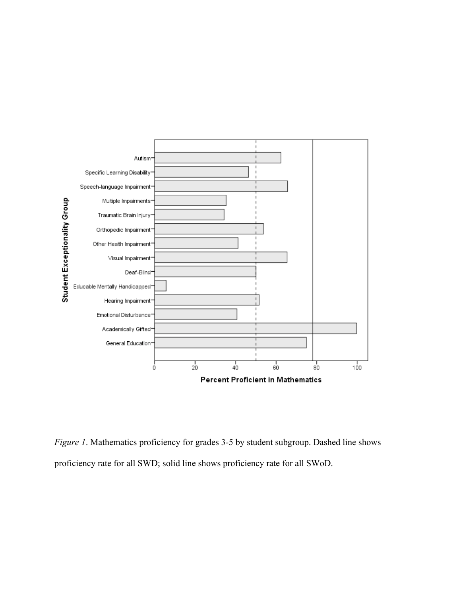

*Figure 1*. Mathematics proficiency for grades 3-5 by student subgroup. Dashed line shows proficiency rate for all SWD; solid line shows proficiency rate for all SWoD.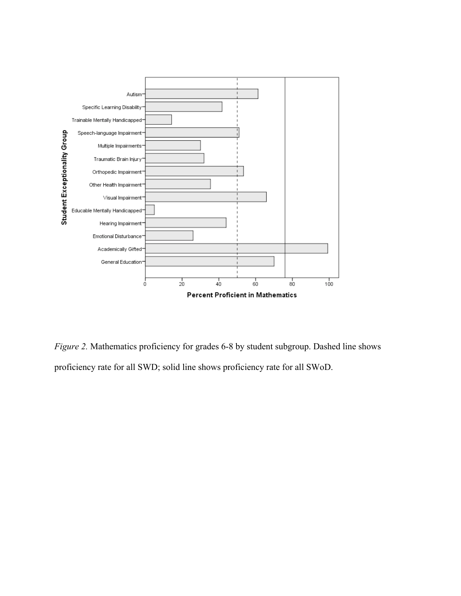

*Figure 2.* Mathematics proficiency for grades 6-8 by student subgroup. Dashed line shows proficiency rate for all SWD; solid line shows proficiency rate for all SWoD.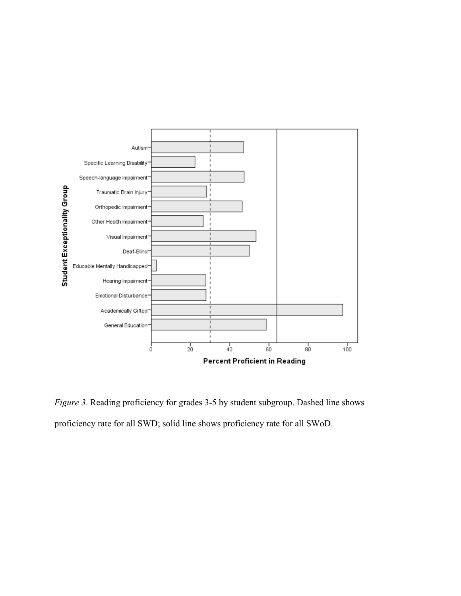

*Figure 3*. Reading proficiency for grades 3-5 by student subgroup. Dashed line shows proficiency rate for all SWD; solid line shows proficiency rate for all SWoD.